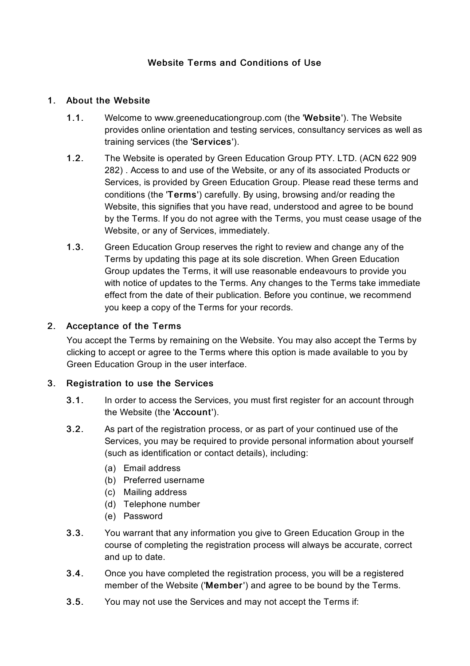# Website Terms and Conditions of Use

## 1. About the Website

- 1.1. Welcome to www.greeneducationgroup.com (the 'Website'). The Website provides online orientation and testing services, consultancy services as well as training services (the 'Services').
- 1.2. The Website is operated by Green Education Group PTY. LTD. (ACN 622 909 282) . Access to and use of the Website, or any of its associated Products or Services, is provided by Green Education Group. Please read these terms and conditions (the 'Terms') carefully. By using, browsing and/or reading the Website, this signifies that you have read, understood and agree to be bound by the Terms. If you do not agree with the Terms, you must cease usage of the Website, or any of Services, immediately.
- 1.3. Green Education Group reserves the right to review and change any of the Terms by updating this page at its sole discretion. When Green Education Group updates the Terms, it will use reasonable endeavours to provide you with notice of updates to the Terms. Any changes to the Terms take immediate effect from the date of their publication. Before you continue, we recommend you keep a copy of the Terms for your records.

## 2. Acceptance of the Terms

You accept the Terms by remaining on the Website. You may also accept the Terms by clicking to accept or agree to the Terms where this option is made available to you by Green Education Group in the user interface.

# 3. Registration to use the Services

- 3.1. In order to access the Services, you must first register for an account through the Website (the 'Account').
- 3.2. As part of the registration process, or as part of your continued use of the Services, you may be required to provide personal information about yourself (such as identification or contact details), including:
	- (a) Email address
	- (b) Preferred username
	- (c) Mailing address
	- (d) Telephone number
	- (e) Password
- 3.3. You warrant that any information you give to Green Education Group in the course of completing the registration process will always be accurate, correct and up to date.
- 3.4. Once you have completed the registration process, you will be a registered member of the Website ('Member') and agree to be bound by the Terms.
- 3.5. You may not use the Services and may not accept the Terms if: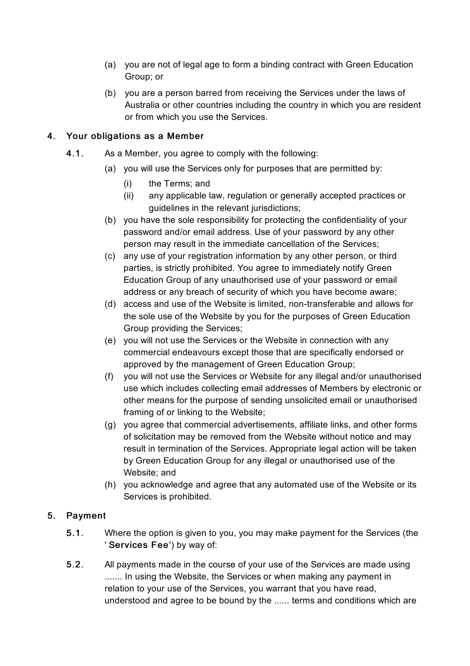- (a) you are not of legal age to form a binding contract with Green Education Group; or
- (b) you are a person barred from receiving the Services under the laws of Australia or other countries including the country in which you are resident or from which you use the Services.

## 4. Your obligations as a Member

- 4.1. As a Member, you agree to comply with the following:
	- (a) you will use the Services only for purposes that are permitted by:
		- (i) the Terms; and
		- (ii) any applicable law, regulation or generally accepted practices or guidelines in the relevant jurisdictions;
	- (b) you have the sole responsibility for protecting the confidentiality of your password and/or email address. Use of your password by any other person may result in the immediate cancellation of the Services;
	- (c) any use of your registration information by any other person, or third parties, is strictly prohibited. You agree to immediately notify Green Education Group of any unauthorised use of your password or email address or any breach of security of which you have become aware;
	- (d) access and use of the Website is limited, non-transferable and allows for the sole use of the Website by you for the purposes of Green Education Group providing the Services;
	- (e) you will not use the Services or the Website in connection with any commercial endeavours except those that are specifically endorsed or approved by the management of Green Education Group;
	- (f) you will not use the Services or Website for any illegal and/or unauthorised use which includes collecting email addresses of Members by electronic or other means for the purpose of sending unsolicited email or unauthorised framing of or linking to the Website;
	- (g) you agree that commercial advertisements, affiliate links, and other forms of solicitation may be removed from the Website without notice and may result in termination of the Services. Appropriate legal action will be taken by Green Education Group for any illegal or unauthorised use of the Website; and
	- (h) you acknowledge and agree that any automated use of the Website or its Services is prohibited.

# 5. Payment

- 5.1. Where the option is given to you, you may make payment for the Services (the ' Services Fee') by way of:
- 5.2. All payments made in the course of your use of the Services are made using ....... In using the Website, the Services or when making any payment in relation to your use of the Services, you warrant that you have read, understood and agree to be bound by the ...... terms and conditions which are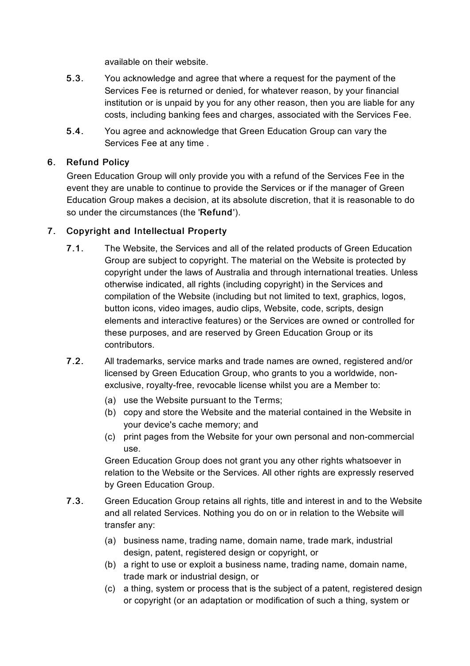available on their website.

- 5.3. You acknowledge and agree that where a request for the payment of the Services Fee is returned or denied, for whatever reason, by your financial institution or is unpaid by you for any other reason, then you are liable for any costs, including banking fees and charges, associated with the Services Fee.
- 5.4. You agree and acknowledge that Green Education Group can vary the Services Fee at any time .

# 6. Refund Policy

Green Education Group will only provide you with a refund of the Services Fee in the event they are unable to continue to provide the Services or if the manager of Green Education Group makes a decision, at its absolute discretion, that it is reasonable to do so under the circumstances (the 'Refund').

# 7. Copyright and Intellectual Property

- 7.1. The Website, the Services and all of the related products of Green Education Group are subject to copyright. The material on the Website is protected by copyright under the laws of Australia and through international treaties. Unless otherwise indicated, all rights (including copyright) in the Services and compilation of the Website (including but not limited to text, graphics, logos, button icons, video images, audio clips, Website, code, scripts, design elements and interactive features) or the Services are owned or controlled for these purposes, and are reserved by Green Education Group or its contributors.
- 7.2. All trademarks, service marks and trade names are owned, registered and/or licensed by Green Education Group, who grants to you a worldwide, nonexclusive, royalty-free, revocable license whilst you are a Member to:
	- (a) use the Website pursuant to the Terms;
	- (b) copy and store the Website and the material contained in the Website in your device's cache memory; and
	- (c) print pages from the Website for your own personal and non-commercial use.

Green Education Group does not grant you any other rights whatsoever in relation to the Website or the Services. All other rights are expressly reserved by Green Education Group.

- 7.3. Green Education Group retains all rights, title and interest in and to the Website and all related Services. Nothing you do on or in relation to the Website will transfer any:
	- (a) business name, trading name, domain name, trade mark, industrial design, patent, registered design or copyright, or
	- (b) a right to use or exploit a business name, trading name, domain name, trade mark or industrial design, or
	- (c) a thing, system or process that is the subject of a patent, registered design or copyright (or an adaptation or modification of such a thing, system or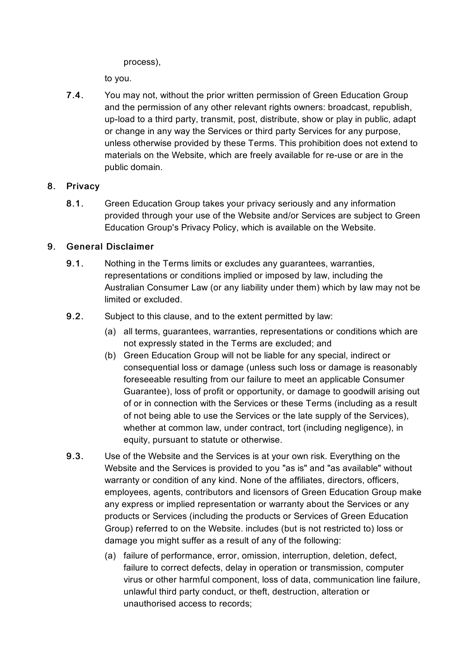process),

to you.

7.4. You may not, without the prior written permission of Green Education Group and the permission of any other relevant rights owners: broadcast, republish, up-load to a third party, transmit, post, distribute, show or play in public, adapt or change in any way the Services or third party Services for any purpose, unless otherwise provided by these Terms. This prohibition does not extend to materials on the Website, which are freely available for re-use or are in the public domain.

## 8. Privacy

8.1. Green Education Group takes your privacy seriously and any information provided through your use of the Website and/or Services are subject to Green Education Group's Privacy Policy, which is available on the Website.

## 9. General Disclaimer

- 9.1. Nothing in the Terms limits or excludes any guarantees, warranties, representations or conditions implied or imposed by law, including the Australian Consumer Law (or any liability under them) which by law may not be limited or excluded.
- 9.2. Subject to this clause, and to the extent permitted by law:
	- (a) all terms, guarantees, warranties, representations or conditions which are not expressly stated in the Terms are excluded; and
	- (b) Green Education Group will not be liable for any special, indirect or consequential loss or damage (unless such loss or damage is reasonably foreseeable resulting from our failure to meet an applicable Consumer Guarantee), loss of profit or opportunity, or damage to goodwill arising out of or in connection with the Services or these Terms (including as a result of not being able to use the Services or the late supply of the Services), whether at common law, under contract, tort (including negligence), in equity, pursuant to statute or otherwise.
- 9.3. Use of the Website and the Services is at your own risk. Everything on the Website and the Services is provided to you "as is" and "as available" without warranty or condition of any kind. None of the affiliates, directors, officers, employees, agents, contributors and licensors of Green Education Group make any express or implied representation or warranty about the Services or any products or Services (including the products or Services of Green Education Group) referred to on the Website. includes (but is not restricted to) loss or damage you might suffer as a result of any of the following:
	- (a) failure of performance, error, omission, interruption, deletion, defect, failure to correct defects, delay in operation or transmission, computer virus or other harmful component, loss of data, communication line failure, unlawful third party conduct, or theft, destruction, alteration or unauthorised access to records;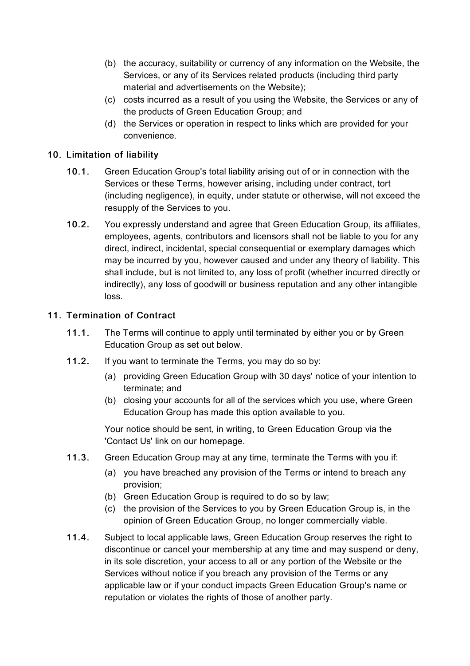- (b) the accuracy, suitability or currency of any information on the Website, the Services, or any of its Services related products (including third party material and advertisements on the Website);
- (c) costs incurred as a result of you using the Website, the Services or any of the products of Green Education Group; and
- (d) the Services or operation in respect to links which are provided for your convenience.

## 10. Limitation of liability

- 10.1. Green Education Group's total liability arising out of or in connection with the Services or these Terms, however arising, including under contract, tort (including negligence), in equity, under statute or otherwise, will not exceed the resupply of the Services to you.
- 10.2. You expressly understand and agree that Green Education Group, its affiliates, employees, agents, contributors and licensors shall not be liable to you for any direct, indirect, incidental, special consequential or exemplary damages which may be incurred by you, however caused and under any theory of liability. This shall include, but is not limited to, any loss of profit (whether incurred directly or indirectly), any loss of goodwill or business reputation and any other intangible loss.

### 11. Termination of Contract

- 11.1. The Terms will continue to apply until terminated by either you or by Green Education Group as set out below.
- 11.2. If you want to terminate the Terms, you may do so by:
	- (a) providing Green Education Group with 30 days' notice of your intention to terminate; and
	- (b) closing your accounts for all of the services which you use, where Green Education Group has made this option available to you.

Your notice should be sent, in writing, to Green Education Group via the 'Contact Us' link on our homepage.

- 11.3. Green Education Group may at any time, terminate the Terms with you if:
	- (a) you have breached any provision of the Terms or intend to breach any provision;
	- (b) Green Education Group is required to do so by law;
	- (c) the provision of the Services to you by Green Education Group is, in the opinion of Green Education Group, no longer commercially viable.
- 11.4. Subject to local applicable laws, Green Education Group reserves the right to discontinue or cancel your membership at any time and may suspend or deny, in its sole discretion, your access to all or any portion of the Website or the Services without notice if you breach any provision of the Terms or any applicable law or if your conduct impacts Green Education Group's name or reputation or violates the rights of those of another party.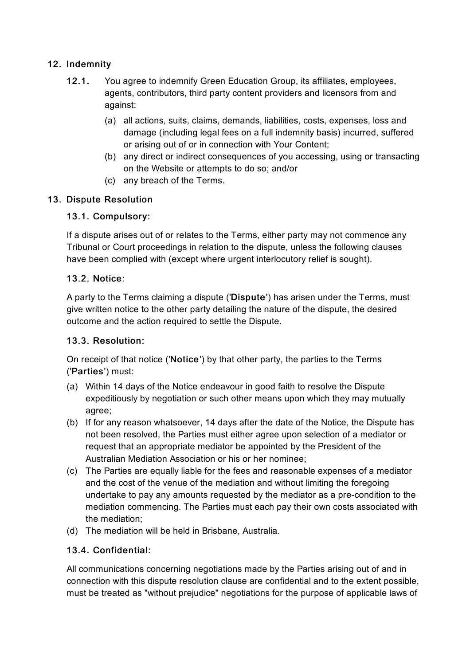## 12. Indemnity

- 12.1. You agree to indemnify Green Education Group, its affiliates, employees, agents, contributors, third party content providers and licensors from and against:
	- (a) all actions, suits, claims, demands, liabilities, costs, expenses, loss and damage (including legal fees on a full indemnity basis) incurred, suffered or arising out of or in connection with Your Content;
	- (b) any direct or indirect consequences of you accessing, using or transacting on the Website or attempts to do so; and/or
	- (c) any breach of the Terms.

## 13. Dispute Resolution

### 13.1. Compulsory:

If a dispute arises out of or relates to the Terms, either party may not commence any Tribunal or Court proceedings in relation to the dispute, unless the following clauses have been complied with (except where urgent interlocutory relief is sought).

### 13.2. Notice:

A party to the Terms claiming a dispute ('Dispute') has arisen under the Terms, must give written notice to the other party detailing the nature of the dispute, the desired outcome and the action required to settle the Dispute.

### 13.3. Resolution:

On receipt of that notice ('Notice') by that other party, the parties to the Terms ('Parties') must:

- (a) Within 14 days of the Notice endeavour in good faith to resolve the Dispute expeditiously by negotiation or such other means upon which they may mutually agree;
- (b) If for any reason whatsoever, 14 days after the date of the Notice, the Dispute has not been resolved, the Parties must either agree upon selection of a mediator or request that an appropriate mediator be appointed by the President of the Australian Mediation Association or his or her nominee;
- (c) The Parties are equally liable for the fees and reasonable expenses of a mediator and the cost of the venue of the mediation and without limiting the foregoing undertake to pay any amounts requested by the mediator as a pre-condition to the mediation commencing. The Parties must each pay their own costs associated with the mediation;
- (d) The mediation will be held in Brisbane, Australia.

# 13.4. Confidential:

All communications concerning negotiations made by the Parties arising out of and in connection with this dispute resolution clause are confidential and to the extent possible, must be treated as "without prejudice" negotiations for the purpose of applicable laws of